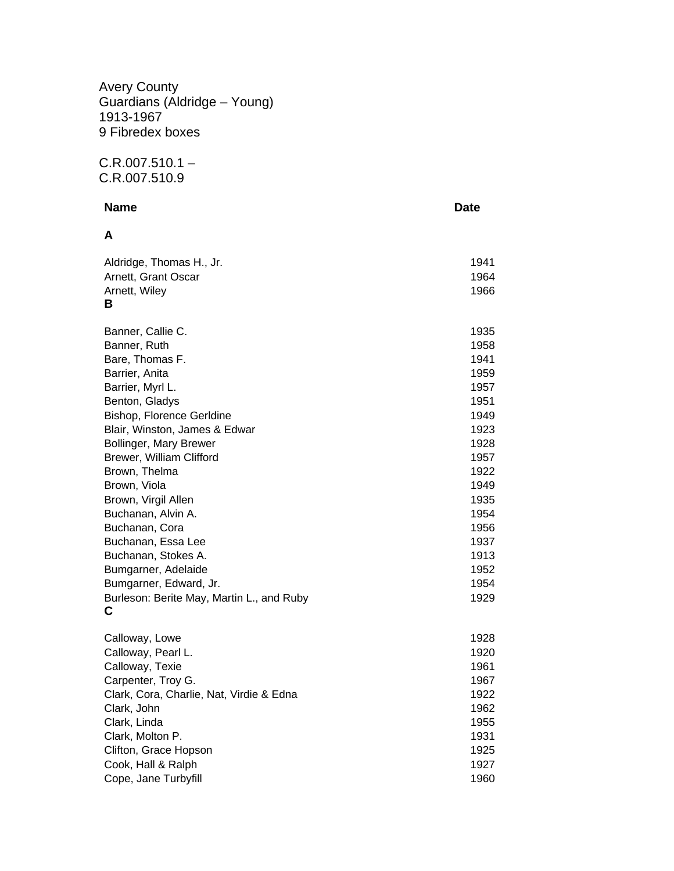Avery County Guardians (Aldridge – Young) 1913-1967 9 Fibredex boxes

 $C.R.007.510.1 -$ C.R.007.510.9

## **Name** Date **Date A**  Aldridge, Thomas H., Jr. 1941 Arnett, Grant Oscar 1964 Arnett, Wiley 2008 2009 2012 2022 2023 2024 2024 2032 204 205 206 207 208 209 209 209 209 209 209 20 **B**  Banner, Callie C. 1935 Banner, Ruth 1958 Bare, Thomas F. 1941 Barrier, Anita 1959 Barrier, Myrl L. 1957 Benton, Gladys 1951 Bishop, Florence Gerldine 1949 Blair, Winston, James & Edwar 1923 Bollinger, Mary Brewer 1928 Brewer, William Clifford 1957 Brown, Thelma 1922 Brown, Viola 2008 and 2009 and 2009 and 2009 and 2009 and 2009 and 2009 and 2009 and 2009 and 2009 and 2009 and 2009 and 2009 and 2009 and 2009 and 2009 and 2009 and 2009 and 2009 and 2009 and 2009 and 2009 and 2009 and 20 Brown, Virgil Allen 1935 Buchanan, Alvin A. 1954 Buchanan, Cora 1956 Buchanan, Essa Lee 1937 Buchanan, Stokes A. 1913 Bumgarner, Adelaide 1952 Bumgarner, Edward, Jr. 1954 Burleson: Berite May, Martin L., and Ruby 1929 **C**  Calloway, Lowe 1928

| CallUway, LUWC                           | ں ∠ت ו |
|------------------------------------------|--------|
| Calloway, Pearl L.                       | 1920   |
| Calloway, Texie                          | 1961   |
| Carpenter, Troy G.                       | 1967   |
| Clark, Cora, Charlie, Nat, Virdie & Edna | 1922   |
| Clark, John                              | 1962   |
| Clark, Linda                             | 1955   |
| Clark, Molton P.                         | 1931   |
| Clifton, Grace Hopson                    | 1925   |
| Cook, Hall & Ralph                       | 1927   |
| Cope, Jane Turbyfill                     | 1960   |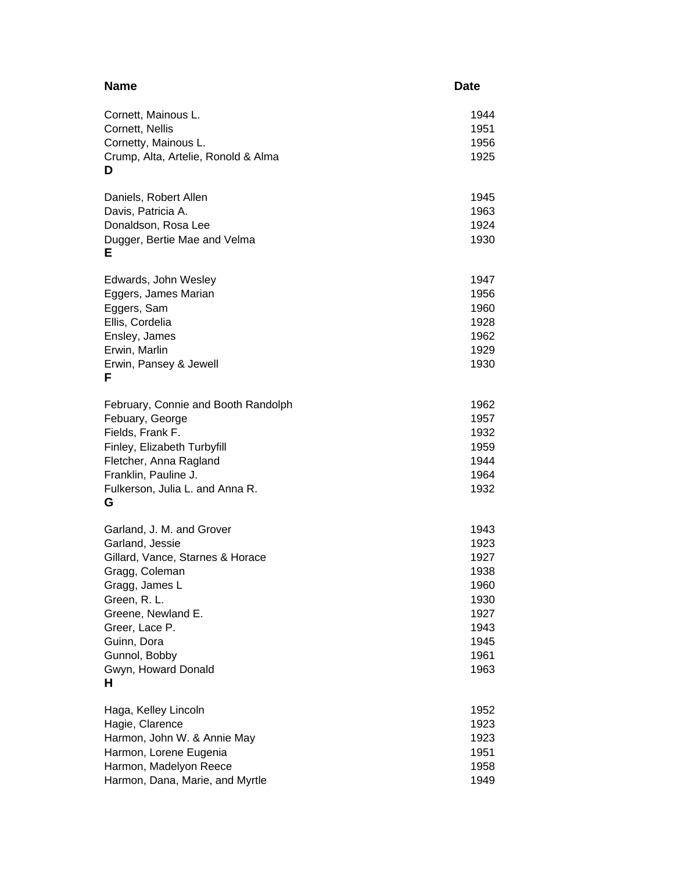| <b>Name</b>                          | <b>Date</b> |
|--------------------------------------|-------------|
| Cornett, Mainous L.                  | 1944        |
| Cornett, Nellis                      | 1951        |
| Cornetty, Mainous L.                 | 1956        |
| Crump, Alta, Artelie, Ronold & Alma  | 1925        |
| D                                    |             |
| Daniels, Robert Allen                | 1945        |
| Davis, Patricia A.                   | 1963        |
| Donaldson, Rosa Lee                  | 1924        |
| Dugger, Bertie Mae and Velma<br>Е    | 1930        |
| Edwards, John Wesley                 | 1947        |
| Eggers, James Marian                 | 1956        |
| Eggers, Sam                          | 1960        |
| Ellis, Cordelia                      | 1928        |
| Ensley, James                        | 1962        |
| Erwin, Marlin                        | 1929        |
| Erwin, Pansey & Jewell<br>F          | 1930        |
| February, Connie and Booth Randolph  | 1962        |
| Febuary, George                      | 1957        |
| Fields, Frank F.                     | 1932        |
| Finley, Elizabeth Turbyfill          | 1959        |
| Fletcher, Anna Ragland               | 1944        |
| Franklin, Pauline J.                 | 1964        |
| Fulkerson, Julia L. and Anna R.<br>G | 1932        |
| Garland, J. M. and Grover            | 1943        |
| Garland, Jessie                      | 1923        |
| Gillard, Vance, Starnes & Horace     | 1927        |
| Gragg, Coleman                       | 1938        |
| Gragg, James L                       | 1960        |
| Green, R. L.                         | 1930        |
| Greene, Newland E.                   | 1927        |
| Greer, Lace P.                       | 1943        |
| Guinn, Dora                          | 1945        |
| Gunnol, Bobby                        | 1961        |
| Gwyn, Howard Donald<br>н             | 1963        |
| Haga, Kelley Lincoln                 | 1952        |
| Hagie, Clarence                      | 1923        |
| Harmon, John W. & Annie May          | 1923        |
| Harmon, Lorene Eugenia               | 1951        |
| Harmon, Madelyon Reece               | 1958        |
| Harmon, Dana, Marie, and Myrtle      | 1949        |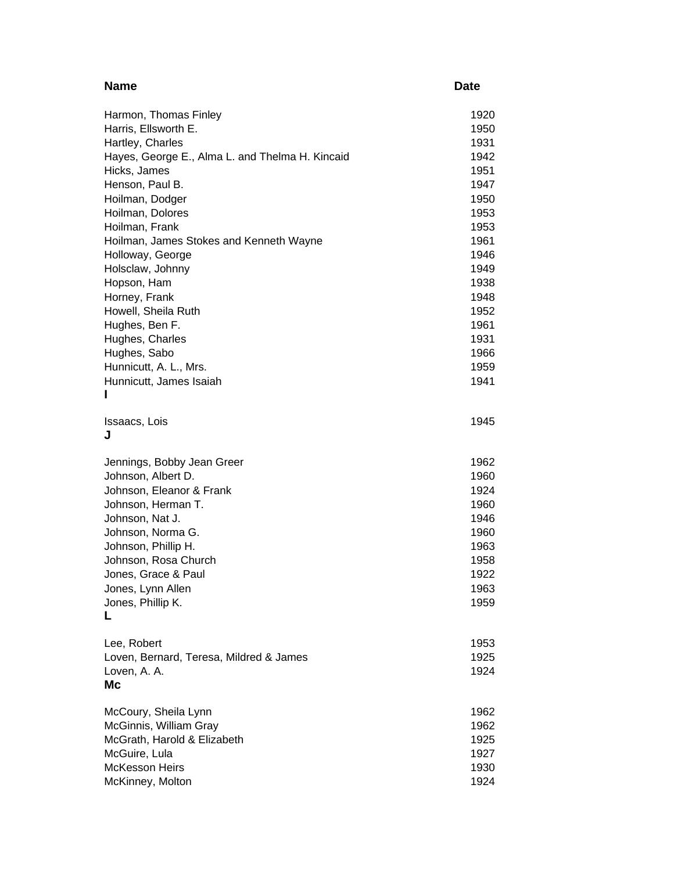| <b>Name</b>                                     | <b>Date</b>  |
|-------------------------------------------------|--------------|
| Harmon, Thomas Finley                           | 1920         |
| Harris, Ellsworth E.                            | 1950         |
| Hartley, Charles                                | 1931         |
| Hayes, George E., Alma L. and Thelma H. Kincaid | 1942         |
| Hicks, James                                    | 1951         |
| Henson, Paul B.                                 | 1947         |
| Hoilman, Dodger                                 | 1950         |
| Hoilman, Dolores                                | 1953         |
| Hoilman, Frank                                  | 1953         |
| Hoilman, James Stokes and Kenneth Wayne         | 1961         |
| Holloway, George                                | 1946         |
| Holsclaw, Johnny                                | 1949         |
| Hopson, Ham                                     | 1938<br>1948 |
| Horney, Frank<br>Howell, Sheila Ruth            | 1952         |
| Hughes, Ben F.                                  | 1961         |
| Hughes, Charles                                 | 1931         |
| Hughes, Sabo                                    | 1966         |
| Hunnicutt, A. L., Mrs.                          | 1959         |
| Hunnicutt, James Isaiah                         | 1941         |
| ı                                               |              |
| Issaacs, Lois                                   | 1945         |
| J                                               |              |
| Jennings, Bobby Jean Greer                      | 1962         |
| Johnson, Albert D.                              | 1960         |
| Johnson, Eleanor & Frank                        | 1924         |
| Johnson, Herman T.                              | 1960         |
| Johnson, Nat J.                                 | 1946         |
| Johnson, Norma G.                               | 1960         |
| Johnson, Phillip H.                             | 1963         |
| Johnson, Rosa Church                            | 1958         |
| Jones, Grace & Paul                             | 1922         |
| Jones, Lynn Allen                               | 1963         |
| Jones, Phillip K.                               | 1959         |
| L                                               |              |
| Lee, Robert                                     | 1953         |
| Loven, Bernard, Teresa, Mildred & James         | 1925         |
| Loven, A. A.                                    | 1924         |
| Мc                                              |              |
| McCoury, Sheila Lynn                            | 1962         |
| McGinnis, William Gray                          | 1962         |
| McGrath, Harold & Elizabeth                     | 1925         |
| McGuire, Lula                                   | 1927         |
| <b>McKesson Heirs</b>                           | 1930         |
| McKinney, Molton                                | 1924         |
|                                                 |              |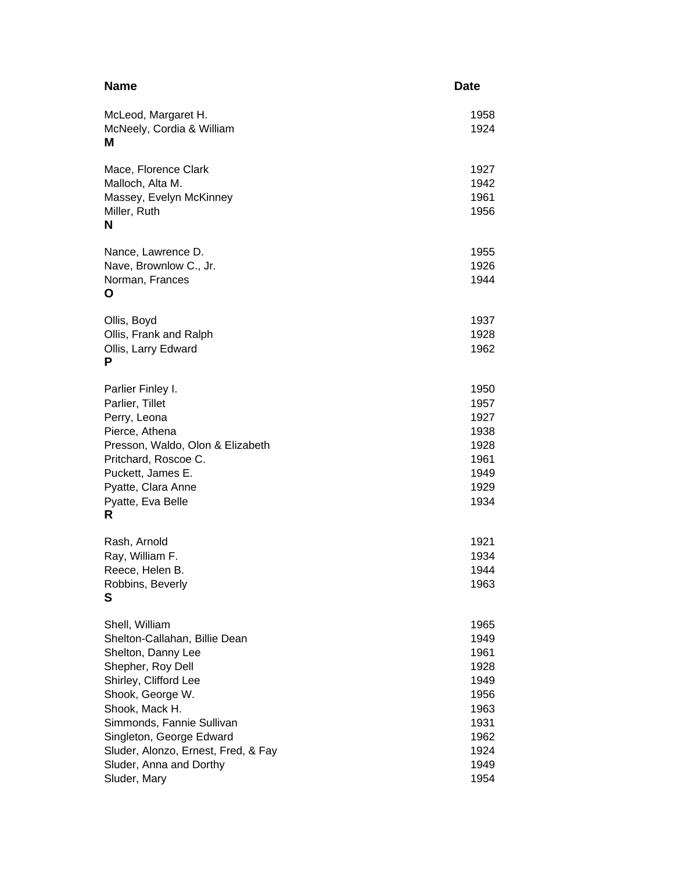| <b>Name</b>                                                                                                                                                                                                                                                                                          | <b>Date</b>                                                                                  |
|------------------------------------------------------------------------------------------------------------------------------------------------------------------------------------------------------------------------------------------------------------------------------------------------------|----------------------------------------------------------------------------------------------|
| McLeod, Margaret H.<br>McNeely, Cordia & William<br>М                                                                                                                                                                                                                                                | 1958<br>1924                                                                                 |
| Mace, Florence Clark<br>Malloch, Alta M.<br>Massey, Evelyn McKinney<br>Miller, Ruth<br>N                                                                                                                                                                                                             | 1927<br>1942<br>1961<br>1956                                                                 |
| Nance, Lawrence D.<br>Nave, Brownlow C., Jr.<br>Norman, Frances<br>Ο                                                                                                                                                                                                                                 | 1955<br>1926<br>1944                                                                         |
| Ollis, Boyd<br>Ollis, Frank and Ralph<br>Ollis, Larry Edward<br>P                                                                                                                                                                                                                                    | 1937<br>1928<br>1962                                                                         |
| Parlier Finley I.<br>Parlier, Tillet<br>Perry, Leona<br>Pierce, Athena<br>Presson, Waldo, Olon & Elizabeth<br>Pritchard, Roscoe C.<br>Puckett, James E.<br>Pyatte, Clara Anne<br>Pyatte, Eva Belle<br>R                                                                                              | 1950<br>1957<br>1927<br>1938<br>1928<br>1961<br>1949<br>1929<br>1934                         |
| Rash, Arnold<br>Ray, William F.<br>Reece, Helen B.<br>Robbins, Beverly<br>S                                                                                                                                                                                                                          | 1921<br>1934<br>1944<br>1963                                                                 |
| Shell, William<br>Shelton-Callahan, Billie Dean<br>Shelton, Danny Lee<br>Shepher, Roy Dell<br>Shirley, Clifford Lee<br>Shook, George W.<br>Shook, Mack H.<br>Simmonds, Fannie Sullivan<br>Singleton, George Edward<br>Sluder, Alonzo, Ernest, Fred, & Fay<br>Sluder, Anna and Dorthy<br>Sluder, Mary | 1965<br>1949<br>1961<br>1928<br>1949<br>1956<br>1963<br>1931<br>1962<br>1924<br>1949<br>1954 |